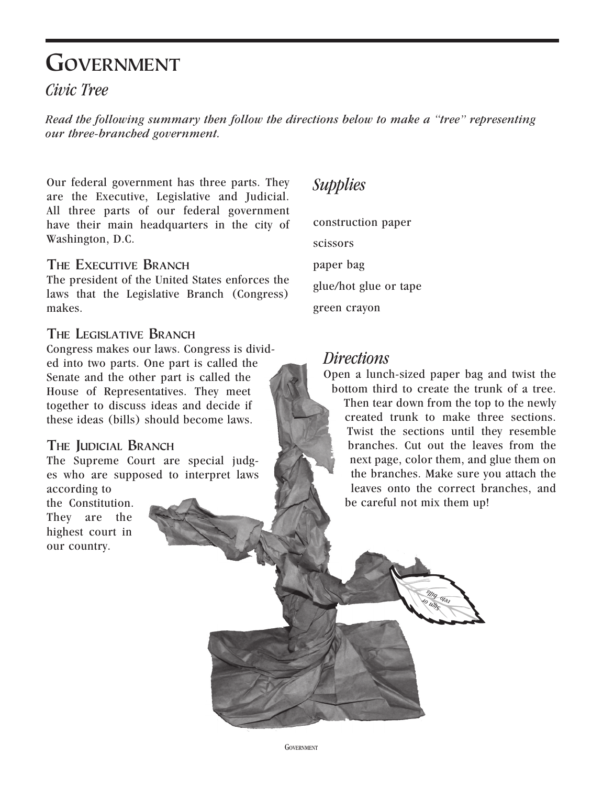# **Government**

## *Civic Tree*

*Read the following summary then follow the directions below to make a "tree" representing our three-branched government.*

Our federal government has three parts. They are the Executive, Legislative and Judicial. All three parts of our federal government have their main headquarters in the city of Washington, D.C.

#### **The Executive Branch**

The president of the United States enforces the laws that the Legislative Branch (Congress) makes.

### **The Legislative Branch**

Congress makes our laws. Congress is divided into two parts. One part is called the Senate and the other part is called the House of Representatives. They meet together to discuss ideas and decide if these ideas (bills) should become laws.

## **The Judicial Branch**

The Supreme Court are special judges who are supposed to interpret laws according to

the Constitution. They are the highest court in our country.

# *Supplies*

construction paper scissors paper bag

glue/hot glue or tape

green crayon

## *Directions*

Open a lunch-sized paper bag and twist the bottom third to create the trunk of a tree.

Then tear down from the top to the newly created trunk to make three sections. Twist the sections until they resemble branches. Cut out the leaves from the next page, color them, and glue them on the branches. Make sure you attach the leaves onto the correct branches, and be careful not mix them up!

> *Sign or veto bills*

**GOVERNMENT**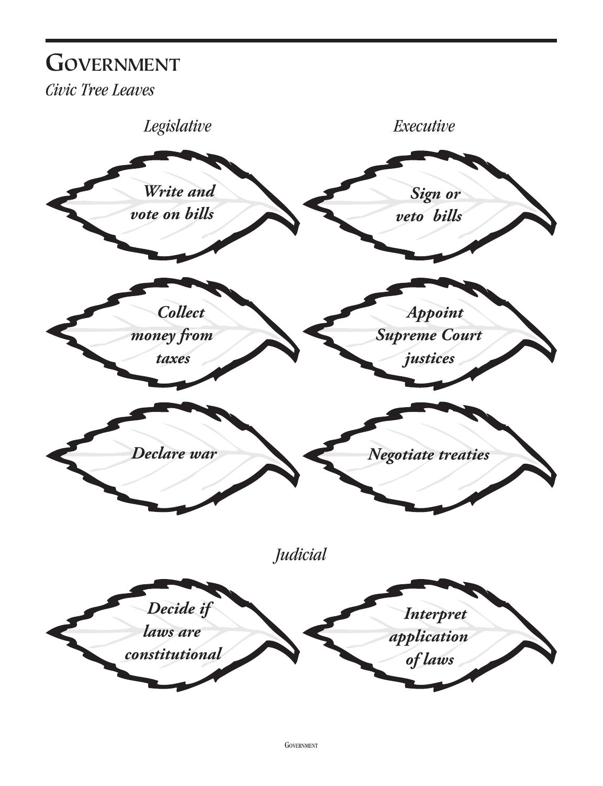# **Government**

*Civic Tree Leaves*

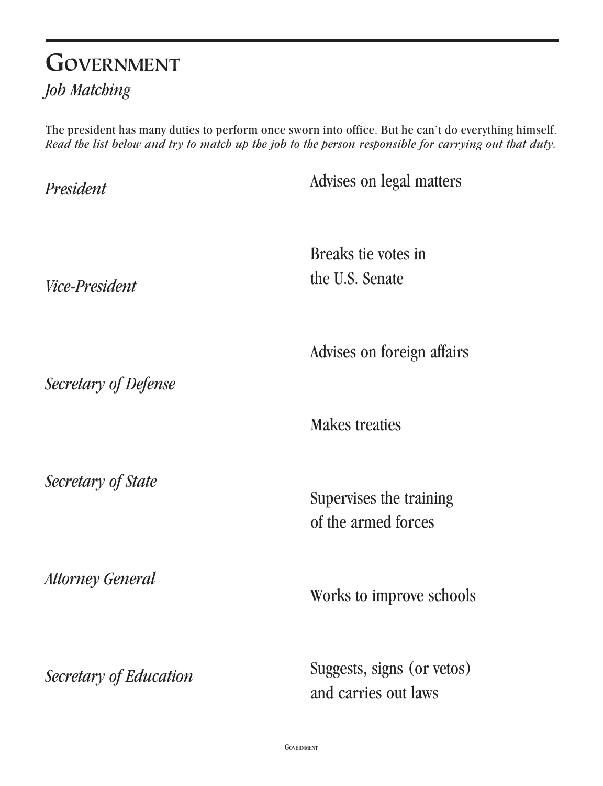# **Government** *Job Matching*

The president has many duties to perform once sworn into office. But he can't do everything himself. *Read the list below and try to match up the job to the person responsible for carrying out that duty.*

Advises on legal matters Breaks tie votes in the U.S. Senate Advises on foreign affairs Makes treaties Supervises the training of the armed forces Works to improve schools Suggests, signs (or vetos) and carries out laws *President Vice-President Secretary of Defense Secretary of State Attorney General Secretary of Education*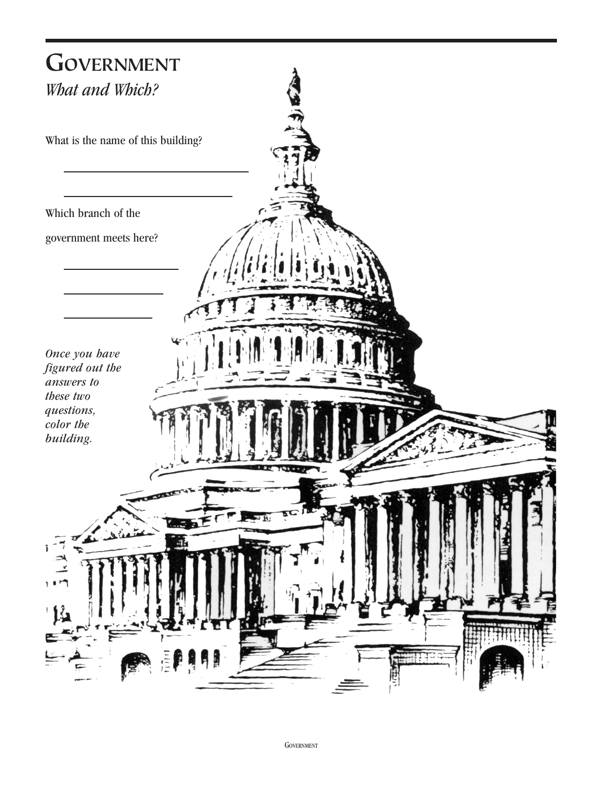